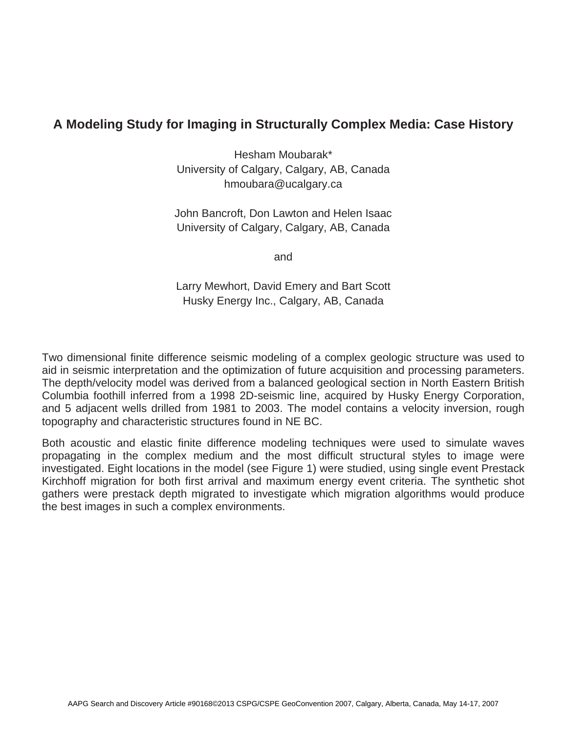## **A Modeling Study for Imaging in Structurally Complex Media: Case History**

Hesham Moubarak\* University of Calgary, Calgary, AB, Canada hmoubara@ucalgary.ca

John Bancroft, Don Lawton and Helen Isaac University of Calgary, Calgary, AB, Canada

and

Larry Mewhort, David Emery and Bart Scott Husky Energy Inc., Calgary, AB, Canada

Two dimensional finite difference seismic modeling of a complex geologic structure was used to aid in seismic interpretation and the optimization of future acquisition and processing parameters. The depth/velocity model was derived from a balanced geological section in North Eastern British Columbia foothill inferred from a 1998 2D-seismic line, acquired by Husky Energy Corporation, and 5 adjacent wells drilled from 1981 to 2003. The model contains a velocity inversion, rough topography and characteristic structures found in NE BC.

Both acoustic and elastic finite difference modeling techniques were used to simulate waves propagating in the complex medium and the most difficult structural styles to image were investigated. Eight locations in the model (see Figure 1) were studied, using single event Prestack Kirchhoff migration for both first arrival and maximum energy event criteria. The synthetic shot gathers were prestack depth migrated to investigate which migration algorithms would produce the best images in such a complex environments.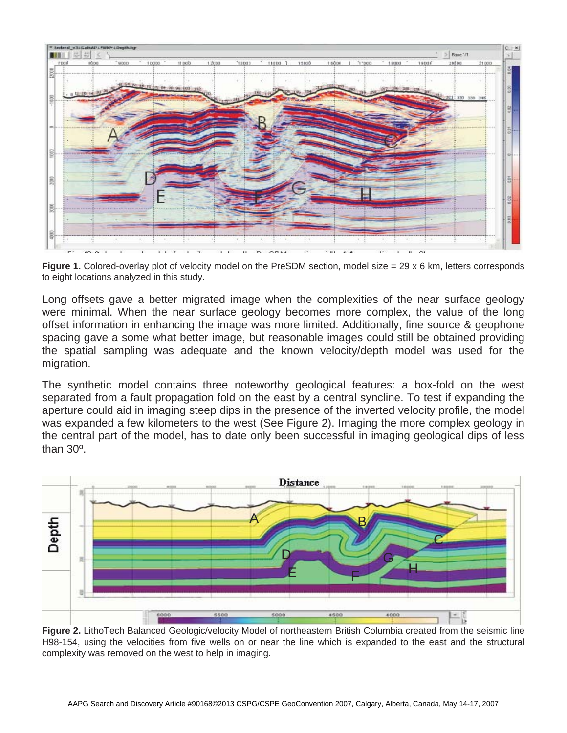

**Figure 1.** Colored-overlay plot of velocity model on the PreSDM section, model size = 29 x 6 km, letters corresponds to eight locations analyzed in this study.

Long offsets gave a better migrated image when the complexities of the near surface geology were minimal. When the near surface geology becomes more complex, the value of the long offset information in enhancing the image was more limited. Additionally, fine source & geophone spacing gave a some what better image, but reasonable images could still be obtained providing the spatial sampling was adequate and the known velocity/depth model was used for the migration.

The synthetic model contains three noteworthy geological features: a box-fold on the west separated from a fault propagation fold on the east by a central syncline. To test if expanding the aperture could aid in imaging steep dips in the presence of the inverted velocity profile, the model was expanded a few kilometers to the west (See Figure 2). Imaging the more complex geology in the central part of the model, has to date only been successful in imaging geological dips of less than 30º.



**Figure 2.** LithoTech Balanced Geologic/velocity Model of northeastern British Columbia created from the seismic line H98-154, using the velocities from five wells on or near the line which is expanded to the east and the structural complexity was removed on the west to help in imaging.